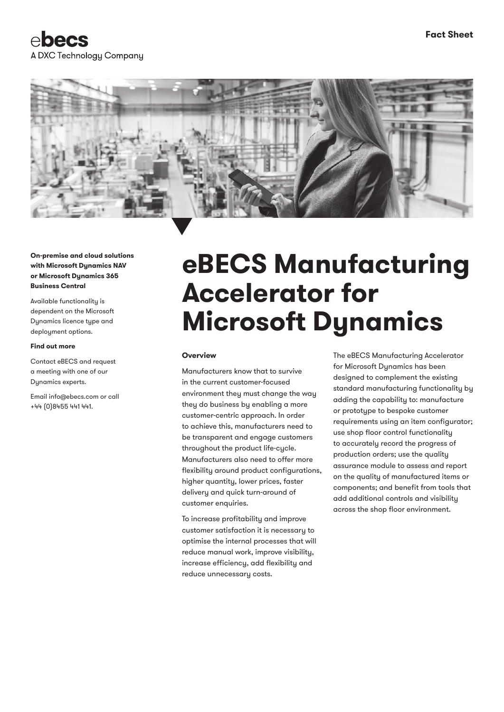



**On-premise and cloud solutions with Microsoft Dynamics NAV or Microsoft Dynamics 365 Business Central**

Available functionality is dependent on the Microsoft Dynamics licence type and deployment options.

#### **Find out more**

Contact eBECS and request a meeting with one of our Dynamics experts.

Email info@ebecs.com or call +44 (0)8455 441 441.

# **eBECS Manufacturing Accelerator for Microsoft Dynamics**

#### **Overview**

Manufacturers know that to survive in the current customer-focused environment they must change the way they do business by enabling a more customer-centric approach. In order to achieve this, manufacturers need to be transparent and engage customers throughout the product life-cycle. Manufacturers also need to offer more flexibility around product configurations, higher quantity, lower prices, faster delivery and quick turn-around of customer enquiries.

To increase profitability and improve customer satisfaction it is necessary to optimise the internal processes that will reduce manual work, improve visibility, increase efficiency, add flexibility and reduce unnecessary costs.

The eBECS Manufacturing Accelerator for Microsoft Dynamics has been designed to complement the existing standard manufacturing functionality by adding the capability to: manufacture or prototype to bespoke customer requirements using an item configurator; use shop floor control functionality to accurately record the progress of production orders; use the quality assurance module to assess and report on the quality of manufactured items or components; and benefit from tools that add additional controls and visibility across the shop floor environment.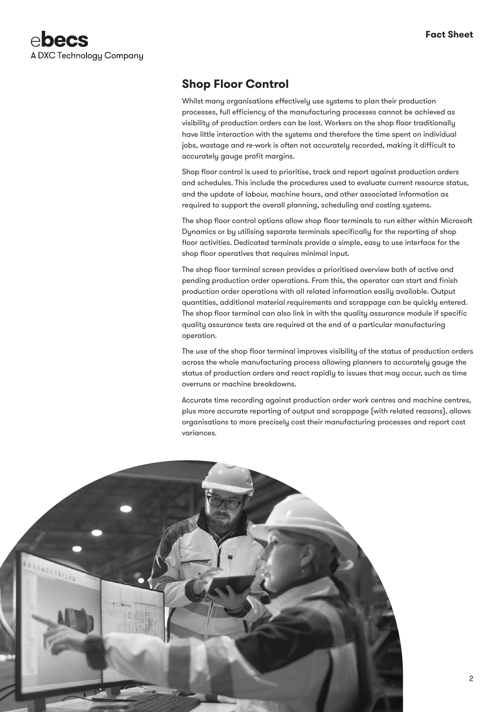

## **Shop Floor Control**

Whilst many organisations effectively use systems to plan their production processes, full efficiency of the manufacturing processes cannot be achieved as visibility of production orders can be lost. Workers on the shop floor traditionally have little interaction with the systems and therefore the time spent on individual jobs, wastage and re-work is often not accurately recorded, making it difficult to accurately gauge profit margins.

Shop floor control is used to prioritise, track and report against production orders and schedules. This include the procedures used to evaluate current resource status, and the update of labour, machine hours, and other associated information as required to support the overall planning, scheduling and costing systems.

The shop floor control options allow shop floor terminals to run either within Microsoft Dynamics or by utilising separate terminals specifically for the reporting of shop floor activities. Dedicated terminals provide a simple, easy to use interface for the shop floor operatives that requires minimal input.

The shop floor terminal screen provides a prioritised overview both of active and pending production order operations. From this, the operator can start and finish production order operations with all related information easily available. Output quantities, additional material requirements and scrappage can be quickly entered. The shop floor terminal can also link in with the quality assurance module if specific quality assurance tests are required at the end of a particular manufacturing operation.

The use of the shop floor terminal improves visibility of the status of production orders across the whole manufacturing process allowing planners to accurately gauge the status of production orders and react rapidly to issues that may occur, such as time overruns or machine breakdowns.

Accurate time recording against production order work centres and machine centres, plus more accurate reporting of output and scrappage (with related reasons), allows organisations to more precisely cost their manufacturing processes and report cost variances.

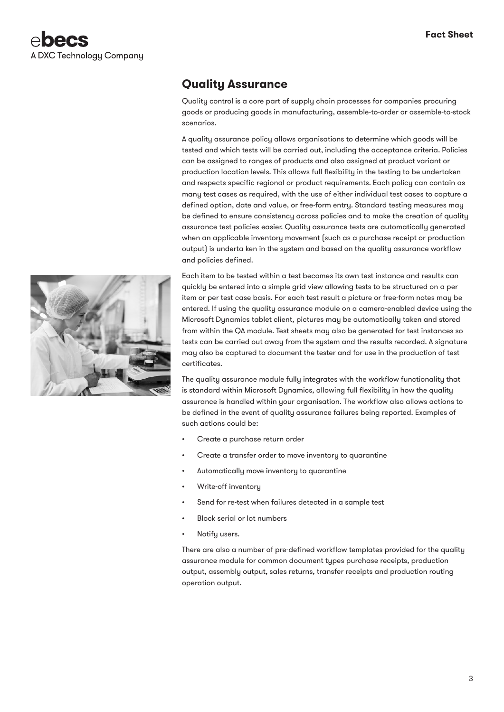## **Quality Assurance**

Quality control is a core part of supply chain processes for companies procuring goods or producing goods in manufacturing, assemble-to-order or assemble-to-stock scenarios.

A quality assurance policy allows organisations to determine which goods will be tested and which tests will be carried out, including the acceptance criteria. Policies can be assigned to ranges of products and also assigned at product variant or production location levels. This allows full flexibility in the testing to be undertaken and respects specific regional or product requirements. Each policy can contain as many test cases as required, with the use of either individual test cases to capture a defined option, date and value, or free-form entry. Standard testing measures may be defined to ensure consistency across policies and to make the creation of quality assurance test policies easier. Quality assurance tests are automatically generated when an applicable inventory movement (such as a purchase receipt or production output) is underta ken in the system and based on the quality assurance workflow and policies defined.

Each item to be tested within a test becomes its own test instance and results can quickly be entered into a simple grid view allowing tests to be structured on a per item or per test case basis. For each test result a picture or free-form notes may be entered. If using the quality assurance module on a camera-enabled device using the Microsoft Dynamics tablet client, pictures may be automatically taken and stored from within the QA module. Test sheets may also be generated for test instances so tests can be carried out away from the system and the results recorded. A signature may also be captured to document the tester and for use in the production of test certificates.

The quality assurance module fully integrates with the workflow functionality that is standard within Microsoft Dynamics, allowing full flexibility in how the quality assurance is handled within your organisation. The workflow also allows actions to be defined in the event of quality assurance failures being reported. Examples of such actions could be:

- Create a purchase return order
- Create a transfer order to move inventory to quarantine
- Automatically move inventory to quarantine
- Write-off inventory
- Send for re-test when failures detected in a sample test
- Block serial or lot numbers
- Notify users.

There are also a number of pre-defined workflow templates provided for the quality assurance module for common document types purchase receipts, production output, assembly output, sales returns, transfer receipts and production routing operation output.

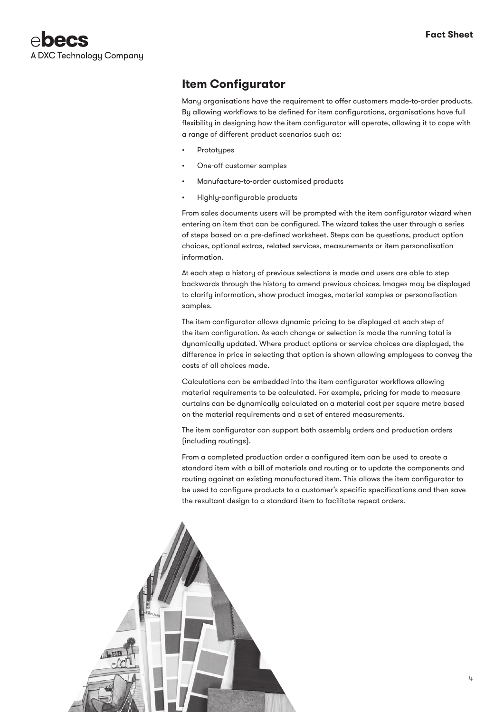

## **Item Configurator**

Many organisations have the requirement to offer customers made-to-order products. By allowing workflows to be defined for item configurations, organisations have full flexibility in designing how the item configurator will operate, allowing it to cope with a range of different product scenarios such as:

- **Prototypes**
- One-off customer samples
- Manufacture-to-order customised products
- Highly-configurable products

From sales documents users will be prompted with the item configurator wizard when entering an item that can be configured. The wizard takes the user through a series of steps based on a pre-defined worksheet. Steps can be questions, product option choices, optional extras, related services, measurements or item personalisation information.

At each step a history of previous selections is made and users are able to step backwards through the history to amend previous choices. Images may be displayed to clarify information, show product images, material samples or personalisation samples.

The item configurator allows dynamic pricing to be displayed at each step of the item configuration. As each change or selection is made the running total is dynamically updated. Where product options or service choices are displayed, the difference in price in selecting that option is shown allowing employees to convey the costs of all choices made.

Calculations can be embedded into the item configurator workflows allowing material requirements to be calculated. For example, pricing for made to measure curtains can be dynamically calculated on a material cost per square metre based on the material requirements and a set of entered measurements.

The item configurator can support both assembly orders and production orders (including routings).

From a completed production order a configured item can be used to create a standard item with a bill of materials and routing or to update the components and routing against an existing manufactured item. This allows the item configurator to be used to configure products to a customer's specific specifications and then save the resultant design to a standard item to facilitate repeat orders.

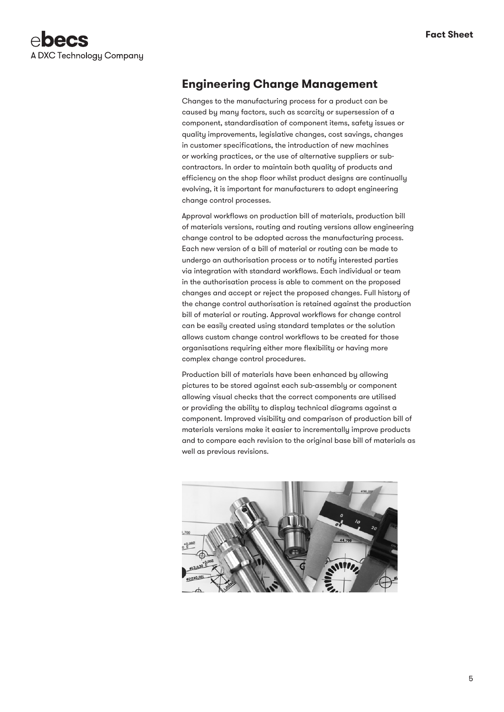

# **Engineering Change Management**

Changes to the manufacturing process for a product can be caused by many factors, such as scarcity or supersession of a component, standardisation of component items, safety issues or quality improvements, legislative changes, cost savings, changes in customer specifications, the introduction of new machines or working practices, or the use of alternative suppliers or subcontractors. In order to maintain both quality of products and efficiency on the shop floor whilst product designs are continually evolving, it is important for manufacturers to adopt engineering change control processes.

Approval workflows on production bill of materials, production bill of materials versions, routing and routing versions allow engineering change control to be adopted across the manufacturing process. Each new version of a bill of material or routing can be made to undergo an authorisation process or to notify interested parties via integration with standard workflows. Each individual or team in the authorisation process is able to comment on the proposed changes and accept or reject the proposed changes. Full history of the change control authorisation is retained against the production bill of material or routing. Approval workflows for change control can be easily created using standard templates or the solution allows custom change control workflows to be created for those organisations requiring either more flexibility or having more complex change control procedures.

Production bill of materials have been enhanced by allowing pictures to be stored against each sub-assembly or component allowing visual checks that the correct components are utilised or providing the ability to display technical diagrams against a component. Improved visibility and comparison of production bill of materials versions make it easier to incrementally improve products and to compare each revision to the original base bill of materials as well as previous revisions.

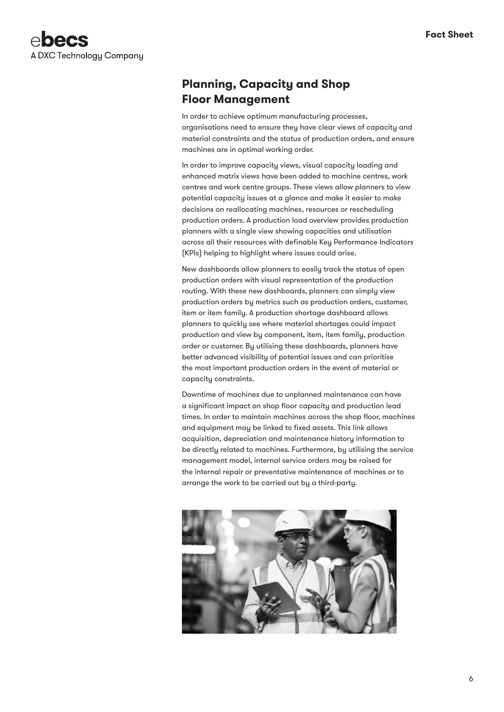

## **Planning, Capacity and Shop Floor Management**

In order to achieve optimum manufacturing processes, organisations need to ensure they have clear views of capacity and material constraints and the status of production orders, and ensure machines are in optimal working order.

In order to improve capacity views, visual capacity loading and enhanced matrix views have been added to machine centres, work centres and work centre groups. These views allow planners to view potential capacity issues at a glance and make it easier to make decisions on reallocating machines, resources or rescheduling production orders. A production load overview provides production planners with a single view showing capacities and utilisation across all their resources with definable Key Performance Indicators (KPIs) helping to highlight where issues could arise.

New dashboards allow planners to easily track the status of open production orders with visual representation of the production routing. With these new dashboards, planners can simply view production orders by metrics such as production orders, customer, item or item family. A production shortage dashboard allows planners to quickly see where material shortages could impact production and view by component, item, item family, production order or customer. By utilising these dashboards, planners have better advanced visibility of potential issues and can prioritise the most important production orders in the event of material or capacity constraints.

Downtime of machines due to unplanned maintenance can have a significant impact on shop floor capacity and production lead times. In order to maintain machines across the shop floor, machines and equipment may be linked to fixed assets. This link allows acquisition, depreciation and maintenance history information to be directly related to machines. Furthermore, by utilising the service management model, internal service orders may be raised for the internal repair or preventative maintenance of machines or to arrange the work to be carried out by a third-party.

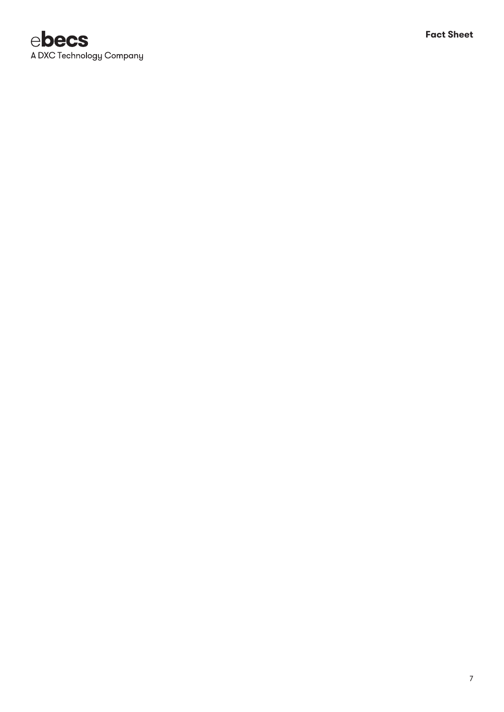